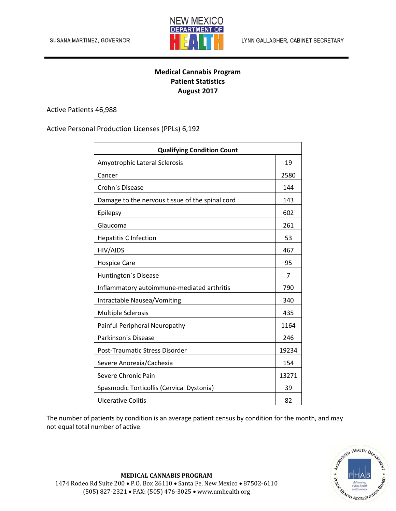

## **Medical Cannabis Program Patient Statistics August 2017**

Active Patients 46,988

Active Personal Production Licenses (PPLs) 6,192

| <b>Qualifying Condition Count</b>               |       |
|-------------------------------------------------|-------|
| Amyotrophic Lateral Sclerosis                   | 19    |
| Cancer                                          | 2580  |
| Crohn's Disease                                 | 144   |
| Damage to the nervous tissue of the spinal cord | 143   |
| Epilepsy                                        | 602   |
| Glaucoma                                        | 261   |
| <b>Hepatitis C Infection</b>                    | 53    |
| HIV/AIDS                                        | 467   |
| <b>Hospice Care</b>                             | 95    |
| Huntington's Disease                            | 7     |
| Inflammatory autoimmune-mediated arthritis      | 790   |
| <b>Intractable Nausea/Vomiting</b>              | 340   |
| <b>Multiple Sclerosis</b>                       | 435   |
| Painful Peripheral Neuropathy                   | 1164  |
| Parkinson's Disease                             | 246   |
| Post-Traumatic Stress Disorder                  | 19234 |
| Severe Anorexia/Cachexia                        | 154   |
| Severe Chronic Pain                             | 13271 |
| Spasmodic Torticollis (Cervical Dystonia)       | 39    |
| <b>Ulcerative Colitis</b>                       | 82    |

The number of patients by condition is an average patient census by condition for the month, and may not equal total number of active.